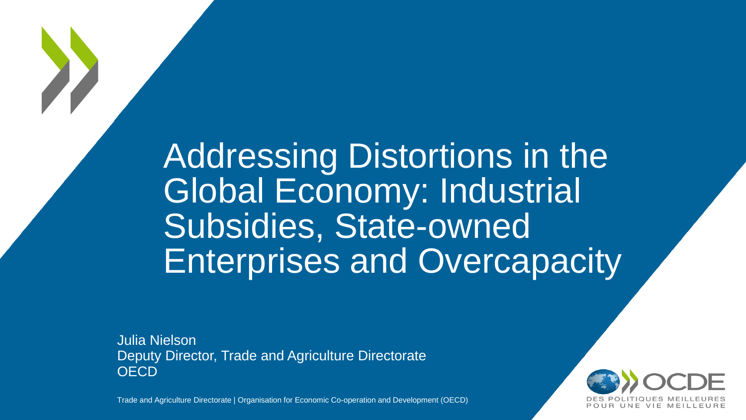# Addressing Distortions in the Global Economy: Industrial Subsidies, State-owned Enterprises and Overcapacity

Julia Nielson Deputy Director, Trade and Agriculture Directorate **OECD** 

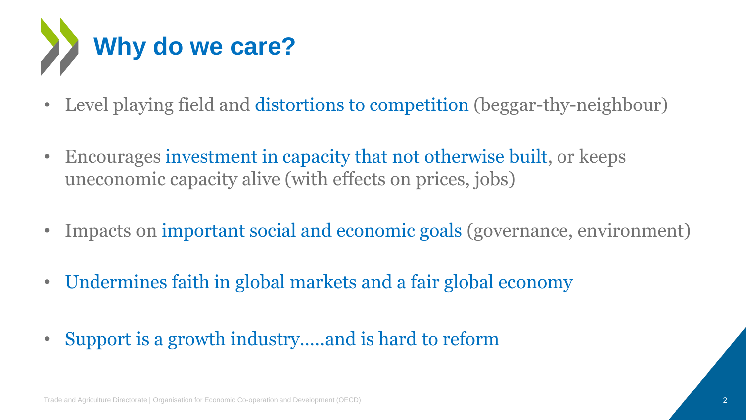

- Level playing field and distortions to competition (beggar-thy-neighbour)
- Encourages investment in capacity that not otherwise built, or keeps uneconomic capacity alive (with effects on prices, jobs)
- Impacts on important social and economic goals (governance, environment)
- Undermines faith in global markets and a fair global economy
- Support is a growth industry.....and is hard to reform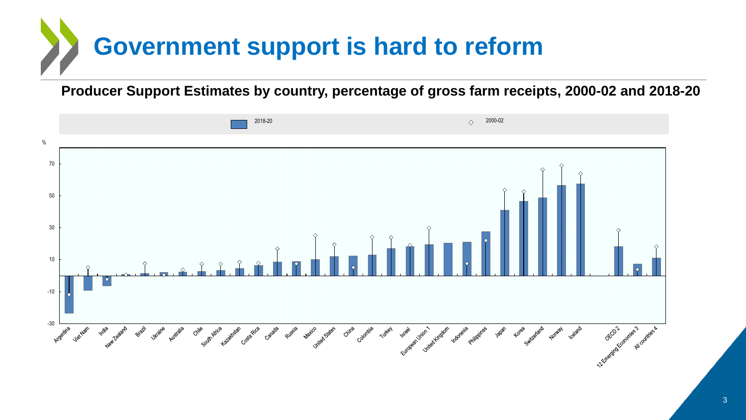# **Government support is hard to reform**

**Producer Support Estimates by country, percentage of gross farm receipts, 2000-02 and 2018-20**

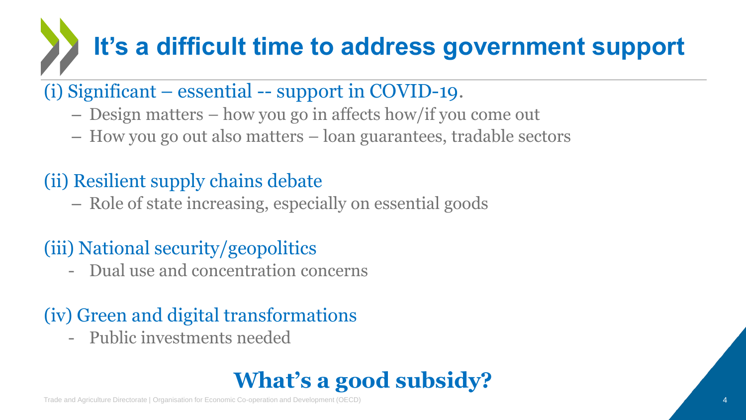# **It's a difficult time to address government support**

### (i) Significant – essential -- support in COVID-19.

- Design matters how you go in affects how/if you come out
- How you go out also matters loan guarantees, tradable sectors

## (ii) Resilient supply chains debate

– Role of state increasing, especially on essential goods

### (iii) National security/geopolitics

- Dual use and concentration concerns

### (iv) Green and digital transformations

- Public investments needed

## **What's a good subsidy?**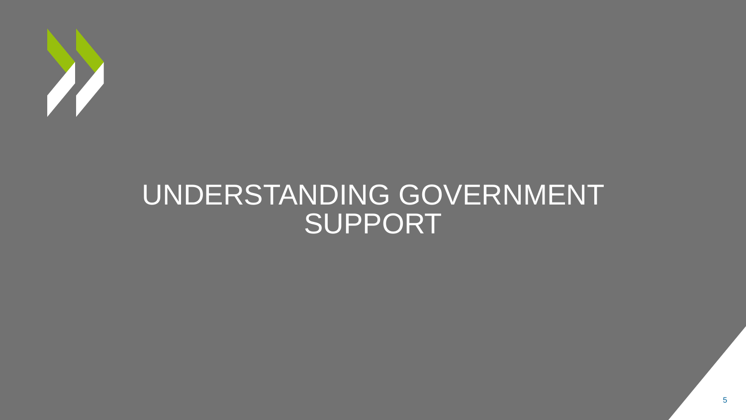

# UNDERSTANDING GOVERNMENT SUPPORT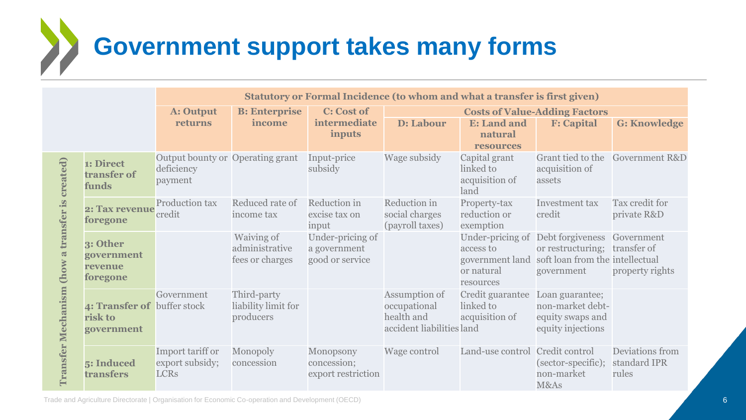# **Government support takes many forms**

|                                                                                |                                                      | Statutory or Formal Incidence (to whom and what a transfer is first given) |                                                 |                                                     |                                                                          |                                                      |                                                                                                                                                |                                          |
|--------------------------------------------------------------------------------|------------------------------------------------------|----------------------------------------------------------------------------|-------------------------------------------------|-----------------------------------------------------|--------------------------------------------------------------------------|------------------------------------------------------|------------------------------------------------------------------------------------------------------------------------------------------------|------------------------------------------|
|                                                                                |                                                      | A: Output                                                                  | <b>B:</b> Enterprise                            | <b>C:</b> Cost of                                   | <b>Costs of Value-Adding Factors</b>                                     |                                                      |                                                                                                                                                |                                          |
|                                                                                |                                                      | returns                                                                    | income                                          | intermediate<br>inputs                              | D: Labour                                                                | <b>E:</b> Land and<br>natural<br><b>resources</b>    | <b>F:</b> Capital                                                                                                                              | <b>G: Knowledge</b>                      |
| created)<br>transfer is<br>$\overline{a}$<br>(how<br><b>Transfer Mechanism</b> | 1: Direct<br>transfer of<br>funds                    | Output bounty or Operating grant<br>deficiency<br>payment                  |                                                 | Input-price<br>subsidy                              | Wage subsidy                                                             | Capital grant<br>linked to<br>acquisition of<br>land | Grant tied to the<br>acquisition of<br>assets                                                                                                  | <b>Government R&amp;D</b>                |
|                                                                                | 2: Tax revenue<br>foregone                           | Production tax<br>credit                                                   | Reduced rate of<br>income tax                   | Reduction in<br>excise tax on<br>input              | Reduction in<br>social charges<br>(payroll taxes)                        | Property-tax<br>reduction or<br>exemption            | <b>Investment</b> tax<br>credit                                                                                                                | Tax credit for<br>private R&D            |
|                                                                                | 3: Other<br>government<br>revenue<br>foregone        |                                                                            | Waiving of<br>administrative<br>fees or charges | Under-pricing of<br>a government<br>good or service |                                                                          | access to<br>or natural<br>resources                 | Under-pricing of Debt forgiveness Government<br>or restructuring; transfer of<br>government land soft loan from the intellectual<br>government | property rights                          |
|                                                                                | 4: Transfer of buffer stock<br>risk to<br>government | Government                                                                 | Third-party<br>liability limit for<br>producers |                                                     | Assumption of<br>occupational<br>health and<br>accident liabilities land | Credit guarantee<br>linked to<br>acquisition of      | Loan guarantee;<br>non-market debt-<br>equity swaps and<br>equity injections                                                                   |                                          |
|                                                                                | 5: Induced<br>transfers                              | Import tariff or<br>export subsidy;<br><b>LCRs</b>                         | Monopoly<br>concession                          | Monopsony<br>concession;<br>export restriction      | Wage control                                                             | Land-use control Credit control                      | (sector-specific);<br>non-market<br>M&As                                                                                                       | Deviations from<br>standard IPR<br>rules |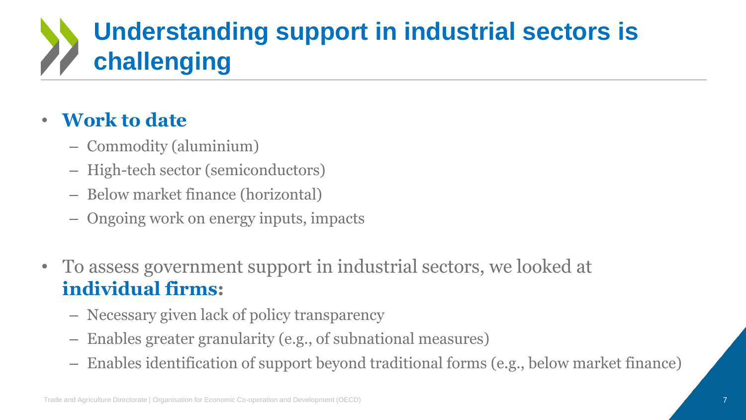# **Understanding support in industrial sectors is challenging**

#### • **Work to date**

- Commodity (aluminium)
- High-tech sector (semiconductors)
- Below market finance (horizontal)
- Ongoing work on energy inputs, impacts
- To assess government support in industrial sectors, we looked at **individual firms:**
	- Necessary given lack of policy transparency
	- Enables greater granularity (e.g., of subnational measures)
	- Enables identification of support beyond traditional forms (e.g., below market finance)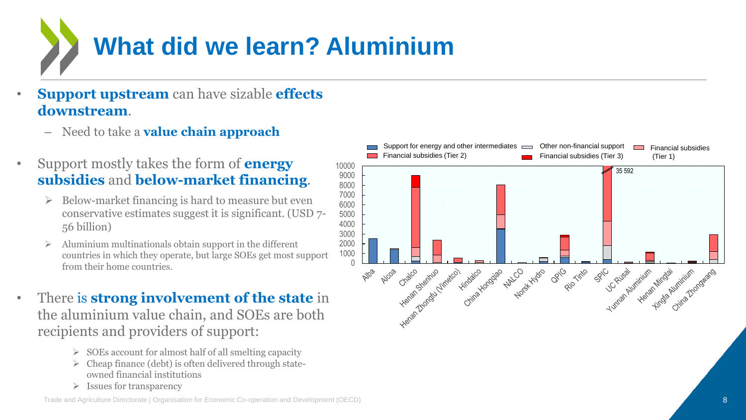

- **Support upstream** can have sizable **effects downstream**.
	- Need to take a **value chain approach**
- Support mostly takes the form of **energy subsidies** and **below-market financing**.
	- Below-market financing is hard to measure but even conservative estimates suggest it is significant. (USD 7- 56 billion)
	- Aluminium multinationals obtain support in the different countries in which they operate, but large SOEs get most support from their home countries.
- There is **strong involvement of the state** in the aluminium value chain, and SOEs are both recipients and providers of support:
	- $\triangleright$  SOEs account for almost half of all smelting capacity
	- $\triangleright$  Cheap finance (debt) is often delivered through stateowned financial institutions
	- $\triangleright$  Issues for transparency

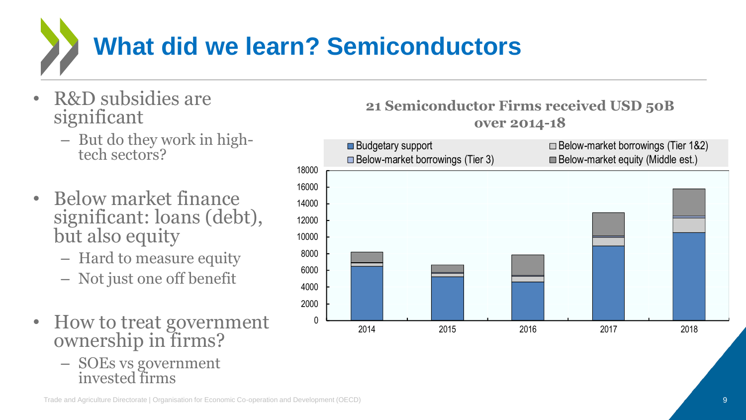

- R&D subsidies are significant
	- But do they work in hightech sectors?
- Below market finance significant: loans (debt), but also equity
	- Hard to measure equity
	- Not just one off benefit
- How to treat government ownership in firms?
	- SOEs vs government invested firms



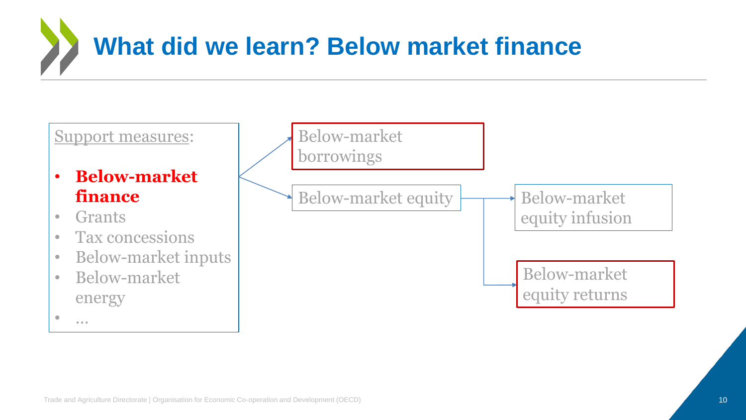

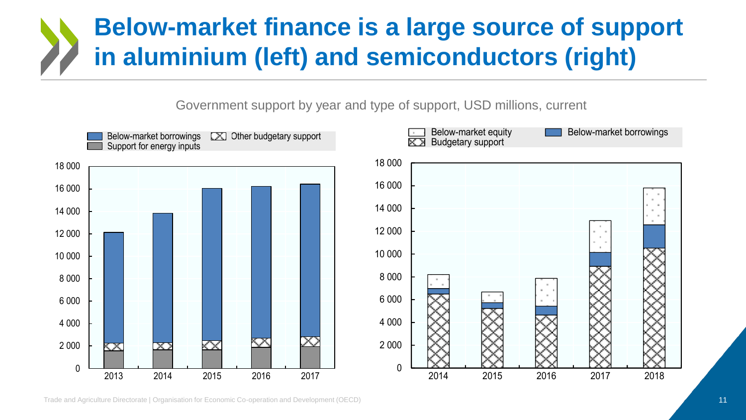## **Below-market finance is a large source of support in aluminium (left) and semiconductors (right)**

Government support by year and type of support, USD millions, current

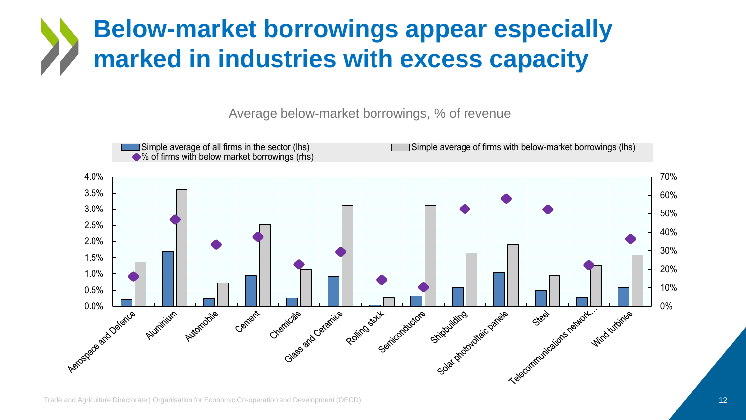## **Below-market borrowings appear especially marked in industries with excess capacity**

Average below-market borrowings, % of revenue

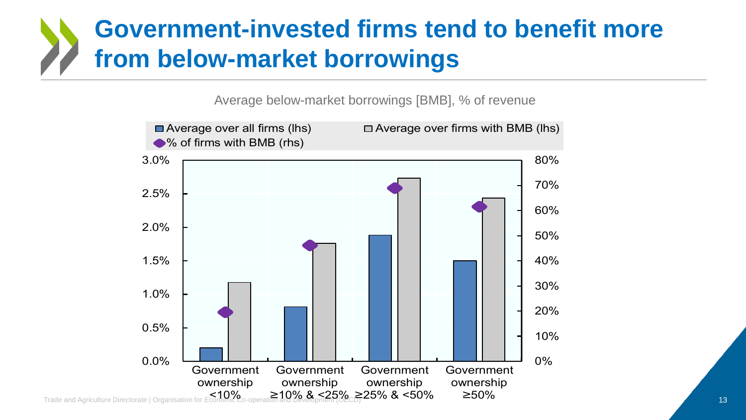## **Government-invested firms tend to benefit more from below-market borrowings**

Average below-market borrowings [BMB], % of revenue

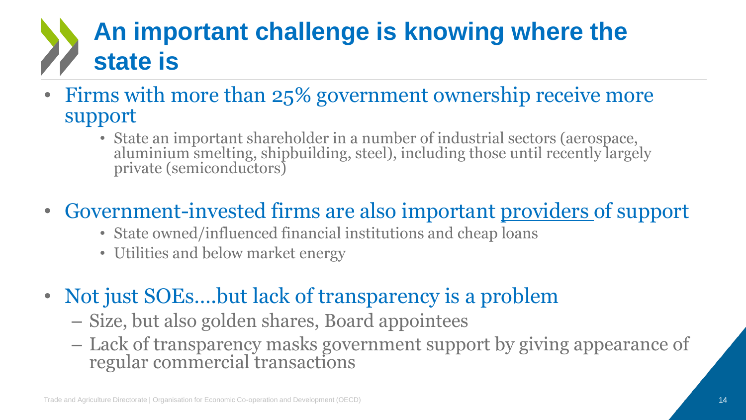# **An important challenge is knowing where the state is**

- Firms with more than 25% government ownership receive more support
	- State an important shareholder in a number of industrial sectors (aerospace, aluminium smelting, shipbuilding, steel), including those until recently largely private (semiconductors)

## • Government-invested firms are also important providers of support

- State owned/influenced financial institutions and cheap loans
- Utilities and below market energy
- Not just SOEs....but lack of transparency is a problem
	- Size, but also golden shares, Board appointees
	- Lack of transparency masks government support by giving appearance of regular commercial transactions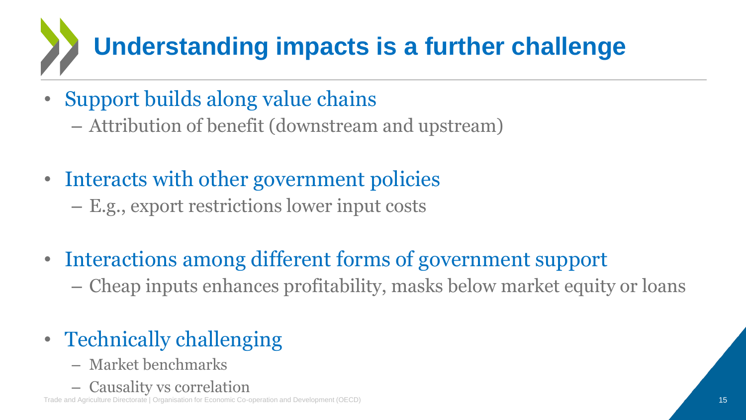# **Understanding impacts is a further challenge**

- Support builds along value chains
	- Attribution of benefit (downstream and upstream)
- Interacts with other government policies
	- E.g., export restrictions lower input costs
- Interactions among different forms of government support – Cheap inputs enhances profitability, masks below market equity or loans
- Technically challenging
	- Market benchmarks
	- Causality vs correlation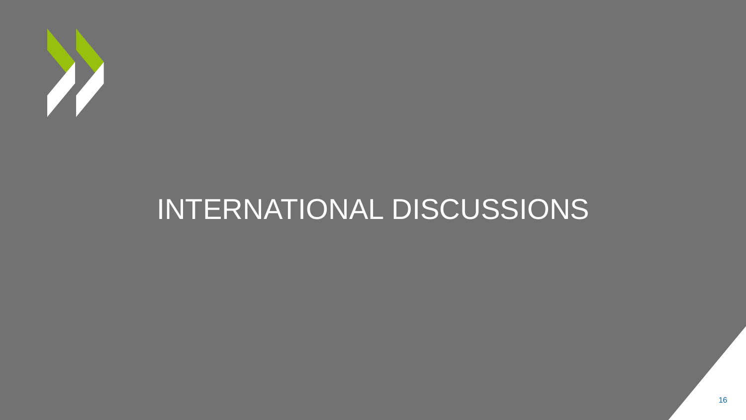

# INTERNATIONAL DISCUSSIONS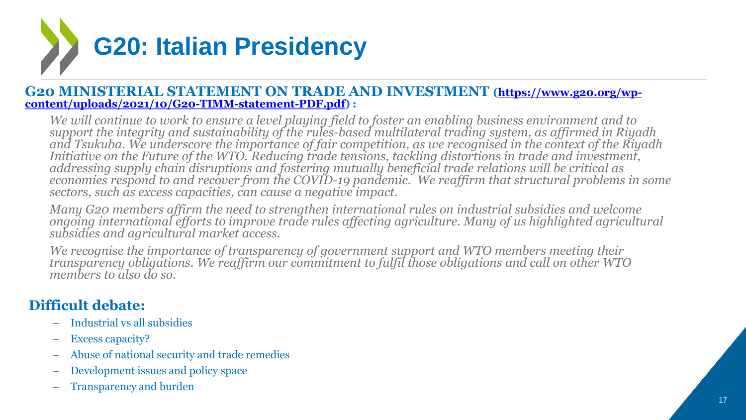

#### **[G20 MINISTERIAL STATEMENT ON TRADE AND INVESTMENT](https://www.g20.org/wp-content/uploads/2021/10/G20-TIMM-statement-PDF.pdf) (https://www.g20.org/wpcontent/uploads/2021/10/G20-TIMM-statement-PDF.pdf) :**

*We will continue to work to ensure a level playing field to foster an enabling business environment and to support the integrity and sustainability of the rules-based multilateral trading system, as affirmed in Riyadh and Tsukuba. We underscore the importance of fair competition, as we recognised in the context of the Riyadh Initiative on the Future of the WTO. Reducing trade tensions, tackling distortions in trade and investment, addressing supply chain disruptions and fostering mutually beneficial trade relations will be critical as economies respond to and recover from the COVID-19 pandemic. We reaffirm that structural problems in some sectors, such as excess capacities, can cause a negative impact.* 

*Many G20 members affirm the need to strengthen international rules on industrial subsidies and welcome ongoing international efforts to improve trade rules affecting agriculture. Many of us highlighted agricultural subsidies and agricultural market access.* 

*We recognise the importance of transparency of government support and WTO members meeting their transparency obligations. We reaffirm our commitment to fulfil those obligations and call on other WTO members to also do so.*

#### **Difficult debate:**

- Industrial vs all subsidies
- Excess capacity?
- Abuse of national security and trade remedies
- Development issues and policy space
- Transparency and burden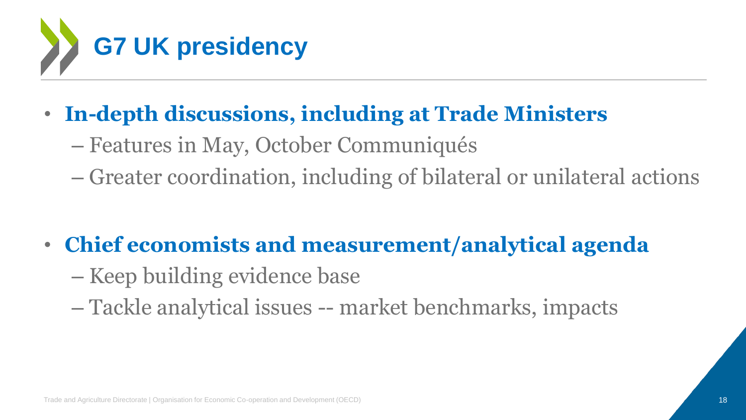

- **In-depth discussions, including at Trade Ministers**
	- Features in May, October Communiqués
	- Greater coordination, including of bilateral or unilateral actions
- **Chief economists and measurement/analytical agenda**
	- Keep building evidence base
	- Tackle analytical issues -- market benchmarks, impacts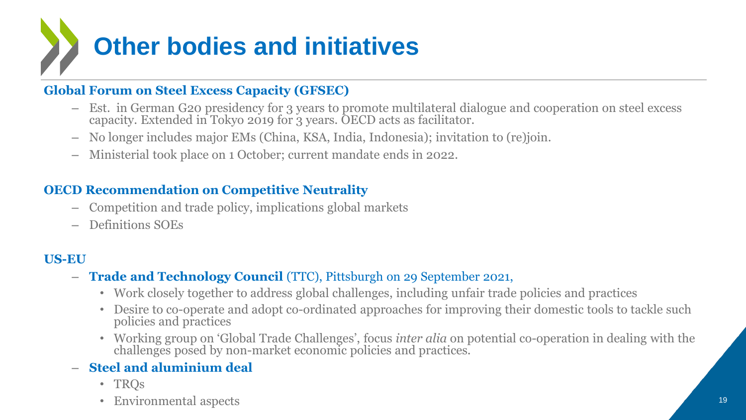

#### **Global Forum on Steel Excess Capacity (GFSEC)**

- Est. in German G20 presidency for 3 years to promote multilateral dialogue and cooperation on steel excess capacity. Extended in Tokyo 2019 for 3 years. OECD acts as facilitator.
- No longer includes major EMs (China, KSA, India, Indonesia); invitation to (re)join.
- Ministerial took place on 1 October; current mandate ends in 2022.

#### **OECD Recommendation on Competitive Neutrality**

- Competition and trade policy, implications global markets
- Definitions SOEs

#### **US-EU**

- **Trade and Technology Council** (TTC), Pittsburgh on 29 September 2021,
	- Work closely together to address global challenges, including unfair trade policies and practices
	- Desire to co-operate and adopt co-ordinated approaches for improving their domestic tools to tackle such policies and practices
	- Working group on 'Global Trade Challenges', focus *inter alia* on potential co-operation in dealing with the challenges posed by non-market economic policies and practices.

#### – **Steel and aluminium deal**

- TRQs
- Environmental aspects 19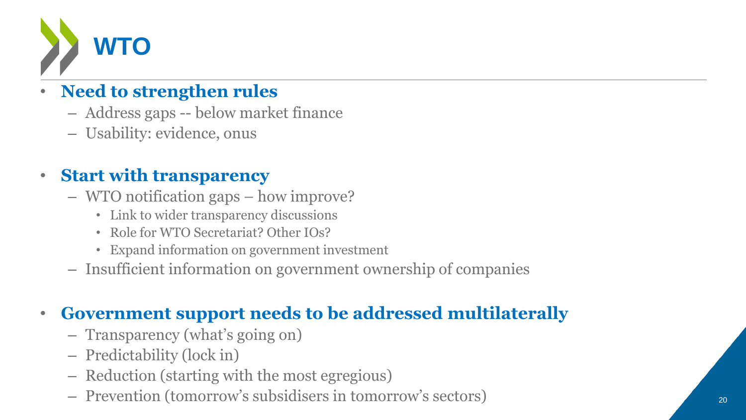

#### • **Need to strengthen rules**

- Address gaps -- below market finance
- Usability: evidence, onus

#### • **Start with transparency**

- WTO notification gaps how improve?
	- Link to wider transparency discussions
	- Role for WTO Secretariat? Other IOs?
	- Expand information on government investment
- Insufficient information on government ownership of companies

#### • **Government support needs to be addressed multilaterally**

- Transparency (what's going on)
- Predictability (lock in)
- Reduction (starting with the most egregious)
- Prevention (tomorrow's subsidisers in tomorrow's sectors) <sup>20</sup>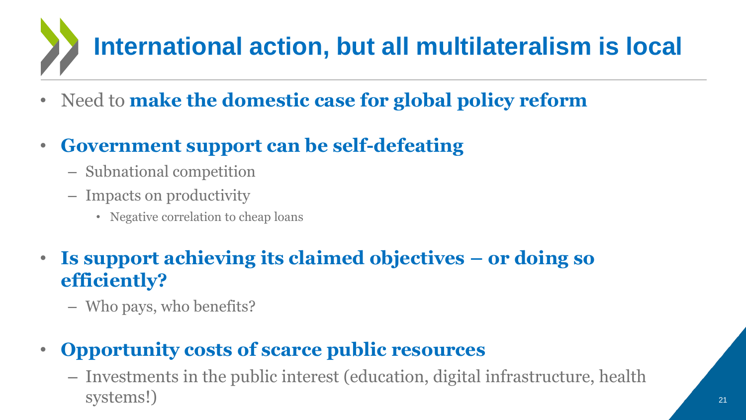# **International action, but all multilateralism is local**

- Need to **make the domestic case for global policy reform**
- **Government support can be self-defeating**
	- Subnational competition
	- Impacts on productivity
		- Negative correlation to cheap loans
- **Is support achieving its claimed objectives – or doing so efficiently?**
	- Who pays, who benefits?

### • **Opportunity costs of scarce public resources**

– Investments in the public interest (education, digital infrastructure, health systems!)